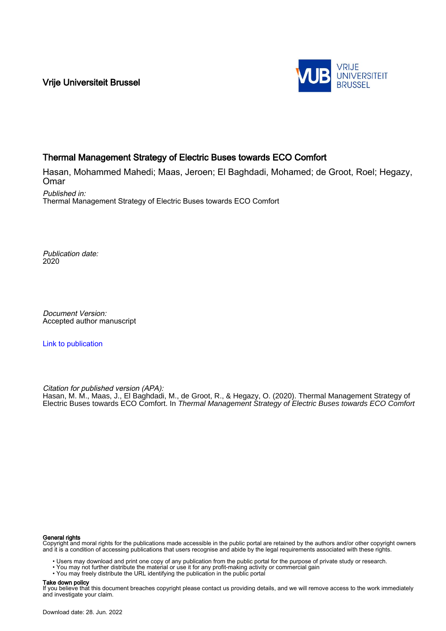Vrije Universiteit Brussel



## Thermal Management Strategy of Electric Buses towards ECO Comfort

Hasan, Mohammed Mahedi; Maas, Jeroen; El Baghdadi, Mohamed; de Groot, Roel; Hegazy, **Omar** 

Published in: Thermal Management Strategy of Electric Buses towards ECO Comfort

Publication date: 2020

Document Version: Accepted author manuscript

[Link to publication](https://researchportal.vub.be/en/publications/b46b22ea-88d1-4064-a35d-16ce7fcc08fe)

Citation for published version (APA): Hasan, M. M., Maas, J., El Baghdadi, M., de Groot, R., & Hegazy, O. (2020). Thermal Management Strategy of Electric Buses towards ECO Comfort. In Thermal Management Strategy of Electric Buses towards ECO Comfort

#### General rights

Copyright and moral rights for the publications made accessible in the public portal are retained by the authors and/or other copyright owners and it is a condition of accessing publications that users recognise and abide by the legal requirements associated with these rights.

• Users may download and print one copy of any publication from the public portal for the purpose of private study or research.

- You may not further distribute the material or use it for any profit-making activity or commercial gain
- You may freely distribute the URL identifying the publication in the public portal

#### Take down policy

If you believe that this document breaches copyright please contact us providing details, and we will remove access to the work immediately and investigate your claim.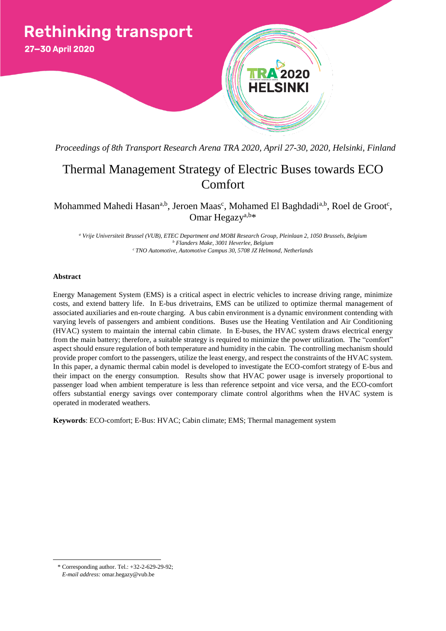

*Proceedings of 8th Transport Research Arena TRA 2020, April 27-30, 2020, Helsinki, Finland*

# Thermal Management Strategy of Electric Buses towards ECO Comfort

Mohammed Mahedi Hasan<sup>a,b</sup>, Jeroen Maas<sup>c</sup>, Mohamed El Baghdadi<sup>a,b</sup>, Roel de Groot<sup>c</sup>, Omar Hegazy<sup>a,b\*</sup>

*<sup>a</sup> Vrije Universiteit Brussel (VUB), ETEC Department and MOBI Research Group, Pleinlaan 2, 1050 Brussels, Belgium <sup>b</sup> Flanders Make, 3001 Heverlee, Belgium <sup>c</sup>TNO Automotive, Automotive Campus 30, 5708 JZ Helmond, Netherlands*

## **Abstract**

Energy Management System (EMS) is a critical aspect in electric vehicles to increase driving range, minimize costs, and extend battery life. In E-bus drivetrains, EMS can be utilized to optimize thermal management of associated auxiliaries and en-route charging. A bus cabin environment is a dynamic environment contending with varying levels of passengers and ambient conditions. Buses use the Heating Ventilation and Air Conditioning (HVAC) system to maintain the internal cabin climate. In E-buses, the HVAC system draws electrical energy from the main battery; therefore, a suitable strategy is required to minimize the power utilization. The "comfort" aspect should ensure regulation of both temperature and humidity in the cabin. The controlling mechanism should provide proper comfort to the passengers, utilize the least energy, and respect the constraints of the HVAC system. In this paper, a dynamic thermal cabin model is developed to investigate the ECO-comfort strategy of E-bus and their impact on the energy consumption. Results show that HVAC power usage is inversely proportional to passenger load when ambient temperature is less than reference setpoint and vice versa, and the ECO-comfort offers substantial energy savings over contemporary climate control algorithms when the HVAC system is operated in moderated weathers.

**Keywords**: ECO-comfort; E-Bus: HVAC; Cabin climate; EMS; Thermal management system

 $\overline{a}$ 

<sup>\*</sup> Corresponding author. Tel.: +32-2-629-29-92; *E-mail address:* omar.hegazy@vub.be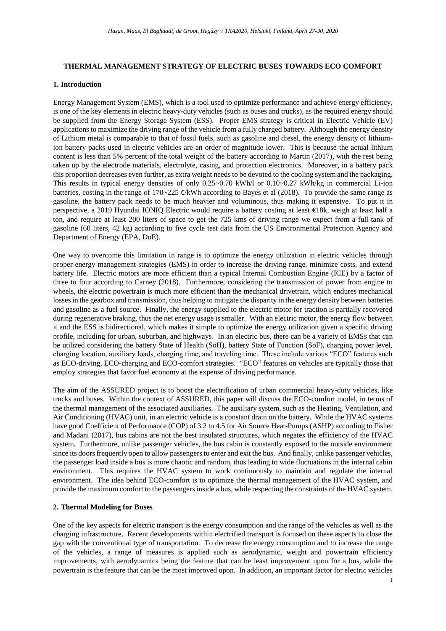## **THERMAL MANAGEMENT STRATEGY OF ELECTRIC BUSES TOWARDS ECO COMFORT**

## **1. Introduction**

Energy Management System (EMS), which is a tool used to optimize performance and achieve energy efficiency, is one of the key elements in electric heavy-duty vehicles (such as buses and trucks), as the required energy should be supplied from the Energy Storage System (ESS). Proper EMS strategy is critical in Electric Vehicle (EV) applications to maximize the driving range of the vehicle from a fully charged battery. Although the energy density of Lithium metal is comparable to that of fossil fuels, such as gasoline and diesel, the energy density of lithiumion battery packs used in electric vehicles are an order of magnitude lower. This is because the actual lithium content is less than 5% percent of the total weight of the battery according to Martin (2017), with the rest being taken up by the electrode materials, electrolyte, casing, and protection electronics. Moreover, in a battery pack this proportion decreases even further, as extra weight needs to be devoted to the cooling system and the packaging. This results in typical energy densities of only 0.25~0.70 kWh/l or 0.10~0.27 kWh/kg in commercial Li-ion batteries, costing in the range of 170~225 €/kWh according to Bayes et al (2018). To provide the same range as gasoline, the battery pack needs to be much heavier and voluminous, thus making it expensive. To put it in perspective, a 2019 Hyundai IONIQ Electric would require a battery costing at least €18k, weigh at least half a ton, and require at least 200 liters of space to get the 725 kms of driving range we expect from a full tank of gasoline (60 liters, 42 kg) according to five cycle test data from the US Environmental Protection Agency and Department of Energy (EPA, DoE).

One way to overcome this limitation in range is to optimize the energy utilization in electric vehicles through proper energy management strategies (EMS) in order to increase the driving range, minimize costs, and extend battery life. Electric motors are more efficient than a typical Internal Combustion Engine (ICE) by a factor of three to four according to Carney (2018). Furthermore, considering the transmission of power from engine to wheels, the electric powertrain is much more efficient than the mechanical drivetrain, which endures mechanical losses in the gearbox and transmission, thus helping to mitigate the disparity in the energy density between batteries and gasoline as a fuel source. Finally, the energy supplied to the electric motor for traction is partially recovered during regenerative braking, thus the net energy usage is smaller. With an electric motor, the energy flow between it and the ESS is bidirectional, which makes it simple to optimize the energy utilization given a specific driving profile, including for urban, suburban, and highways. In an electric bus, there can be a variety of EMSs that can be utilized considering the battery State of Health (SoH), battery State of Function (SoF), charging power level, charging location, auxiliary loads, charging time, and traveling time. These include various "ECO" features such as ECO-driving, ECO-charging and ECO-comfort strategies. "ECO" features on vehicles are typically those that employ strategies that favor fuel economy at the expense of driving performance.

The aim of the ASSURED project is to boost the electrification of urban commercial heavy-duty vehicles, like trucks and buses. Within the context of ASSURED, this paper will discuss the ECO-comfort model, in terms of the thermal management of the associated auxiliaries. The auxiliary system, such as the Heating, Ventilation, and Air Conditioning (HVAC) unit, in an electric vehicle is a constant drain on the battery. While the HVAC systems have good Coefficient of Performance (COP) of 3.2 to 4.5 for Air Source Heat-Pumps (ASHP) according to Fisher and Madani (2017), bus cabins are not the best insulated structures, which negates the efficiency of the HVAC system. Furthermore, unlike passenger vehicles, the bus cabin is constantly exposed to the outside environment since its doors frequently open to allow passengers to enter and exit the bus. And finally, unlike passenger vehicles, the passenger load inside a bus is more chaotic and random, thus leading to wide fluctuations in the internal cabin environment. This requires the HVAC system to work continuously to maintain and regulate the internal environment. The idea behind ECO-comfort is to optimize the thermal management of the HVAC system, and provide the maximum comfort to the passengers inside a bus, while respecting the constraints of the HVAC system.

## **2. Thermal Modeling for Buses**

One of the key aspects for electric transport is the energy consumption and the range of the vehicles as well as the charging infrastructure. Recent developments within electrified transport is focused on these aspects to close the gap with the conventional type of transportation. To decrease the energy consumption and to increase the range of the vehicles, a range of measures is applied such as aerodynamic, weight and powertrain efficiency improvements, with aerodynamics being the feature that can be least improvement upon for a bus, while the powertrain is the feature that can be the most improved upon. In addition, an important factor for electric vehicles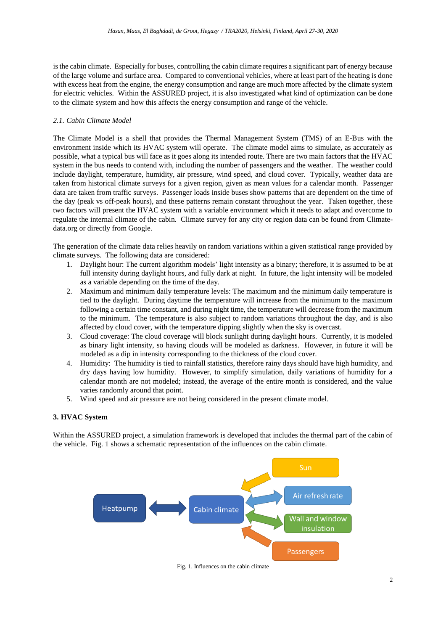is the cabin climate. Especially for buses, controlling the cabin climate requires a significant part of energy because of the large volume and surface area. Compared to conventional vehicles, where at least part of the heating is done with excess heat from the engine, the energy consumption and range are much more affected by the climate system for electric vehicles. Within the ASSURED project, it is also investigated what kind of optimization can be done to the climate system and how this affects the energy consumption and range of the vehicle.

## *2.1. Cabin Climate Model*

The Climate Model is a shell that provides the Thermal Management System (TMS) of an E-Bus with the environment inside which its HVAC system will operate. The climate model aims to simulate, as accurately as possible, what a typical bus will face as it goes along its intended route. There are two main factors that the HVAC system in the bus needs to contend with, including the number of passengers and the weather. The weather could include daylight, temperature, humidity, air pressure, wind speed, and cloud cover. Typically, weather data are taken from historical climate surveys for a given region, given as mean values for a calendar month. Passenger data are taken from traffic surveys. Passenger loads inside buses show patterns that are dependent on the time of the day (peak vs off-peak hours), and these patterns remain constant throughout the year. Taken together, these two factors will present the HVAC system with a variable environment which it needs to adapt and overcome to regulate the internal climate of the cabin. Climate survey for any city or region data can be found from Climatedata.org or directly from Google.

The generation of the climate data relies heavily on random variations within a given statistical range provided by climate surveys. The following data are considered:

- 1. Daylight hour: The current algorithm models' light intensity as a binary; therefore, it is assumed to be at full intensity during daylight hours, and fully dark at night. In future, the light intensity will be modeled as a variable depending on the time of the day.
- 2. Maximum and minimum daily temperature levels: The maximum and the minimum daily temperature is tied to the daylight. During daytime the temperature will increase from the minimum to the maximum following a certain time constant, and during night time, the temperature will decrease from the maximum to the minimum. The temperature is also subject to random variations throughout the day, and is also affected by cloud cover, with the temperature dipping slightly when the sky is overcast.
- 3. Cloud coverage: The cloud coverage will block sunlight during daylight hours. Currently, it is modeled as binary light intensity, so having clouds will be modeled as darkness. However, in future it will be modeled as a dip in intensity corresponding to the thickness of the cloud cover.
- 4. Humidity: The humidity is tied to rainfall statistics, therefore rainy days should have high humidity, and dry days having low humidity. However, to simplify simulation, daily variations of humidity for a calendar month are not modeled; instead, the average of the entire month is considered, and the value varies randomly around that point.
- 5. Wind speed and air pressure are not being considered in the present climate model.

## **3. HVAC System**

Within the ASSURED project, a simulation framework is developed that includes the thermal part of the cabin of the vehicle. [Fig.](#page-3-0) 1 shows a schematic representation of the influences on the cabin climate.

<span id="page-3-0"></span>

Fig*.* 1. Influences on the cabin climate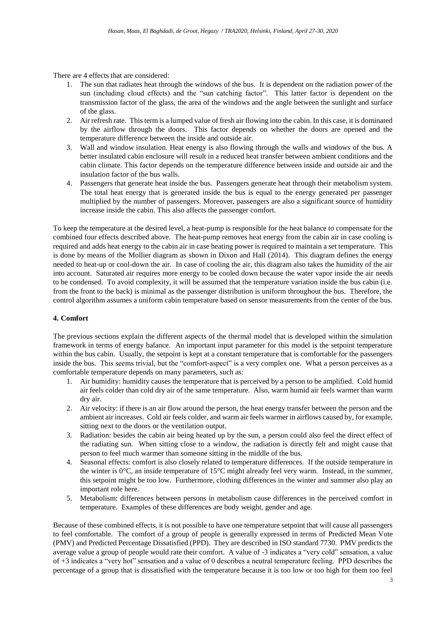There are 4 effects that are considered:

- 1. The sun that radiates heat through the windows of the bus. It is dependent on the radiation power of the sun (including cloud effects) and the "sun catching factor". This latter factor is dependent on the transmission factor of the glass, the area of the windows and the angle between the sunlight and surface of the glass.
- 2. Air refresh rate. This term is a lumped value of fresh air flowing into the cabin. In this case, it is dominated by the airflow through the doors. This factor depends on whether the doors are opened and the temperature difference between the inside and outside air.
- 3. Wall and window insulation. Heat energy is also flowing through the walls and windows of the bus. A better insulated cabin enclosure will result in a reduced heat transfer between ambient conditions and the cabin climate. This factor depends on the temperature difference between inside and outside air and the insulation factor of the bus walls.
- 4. Passengers that generate heat inside the bus. Passengers generate heat through their metabolism system. The total heat energy that is generated inside the bus is equal to the energy generated per passenger multiplied by the number of passengers. Moreover, passengers are also a significant source of humidity increase inside the cabin. This also affects the passenger comfort.

To keep the temperature at the desired level, a heat-pump is responsible for the heat balance to compensate for the combined four effects described above. The heat-pump removes heat energy from the cabin air in case cooling is required and adds heat energy to the cabin air in case heating power is required to maintain a set temperature. This is done by means of the Mollier diagram as shown in Dixon and Hall (2014). This diagram defines the energy needed to heat-up or cool-down the air. In case of cooling the air, this diagram also takes the humidity of the air into account. Saturated air requires more energy to be cooled down because the water vapor inside the air needs to be condensed. To avoid complexity, it will be assumed that the temperature variation inside the bus cabin (i.e. from the front to the back) is minimal as the passenger distribution is uniform throughout the bus. Therefore, the control algorithm assumes a uniform cabin temperature based on sensor measurements from the center of the bus.

## **4. Comfort**

The previous sections explain the different aspects of the thermal model that is developed within the simulation framework in terms of energy balance. An important input parameter for this model is the setpoint temperature within the bus cabin. Usually, the setpoint is kept at a constant temperature that is comfortable for the passengers inside the bus. This seems trivial, but the "comfort-aspect" is a very complex one. What a person perceives as a comfortable temperature depends on many parameters, such as:

- 1. Air humidity: humidity causes the temperature that is perceived by a person to be amplified. Cold humid air feels colder than cold dry air of the same temperature. Also, warm humid air feels warmer than warm dry air.
- 2. Air velocity: if there is an air flow around the person, the heat energy transfer between the person and the ambient air increases. Cold air feels colder, and warm air feels warmer in airflows caused by, for example, sitting next to the doors or the ventilation output.
- 3. Radiation: besides the cabin air being heated up by the sun, a person could also feel the direct effect of the radiating sun. When sitting close to a window, the radiation is directly felt and might cause that person to feel much warmer than someone sitting in the middle of the bus.
- 4. Seasonal effects: comfort is also closely related to temperature differences. If the outside temperature in the winter is 0°C, an inside temperature of 15°C might already feel very warm. Instead, in the summer, this setpoint might be too low. Furthermore, clothing differences in the winter and summer also play an important role here.
- 5. Metabolism: differences between persons in metabolism cause differences in the perceived comfort in temperature. Examples of these differences are body weight, gender and age.

Because of these combined effects, it is not possible to have one temperature setpoint that will cause all passengers to feel comfortable. The comfort of a group of people is generally expressed in terms of Predicted Mean Vote (PMV) and Predicted Percentage Dissatisfied (PPD). They are described in ISO standard 7730. PMV predicts the average value a group of people would rate their comfort. A value of -3 indicates a "very cold" sensation, a value of +3 indicates a "very hot" sensation and a value of 0 describes a neutral temperature feeling. PPD describes the percentage of a group that is dissatisfied with the temperature because it is too low or too high for them too feel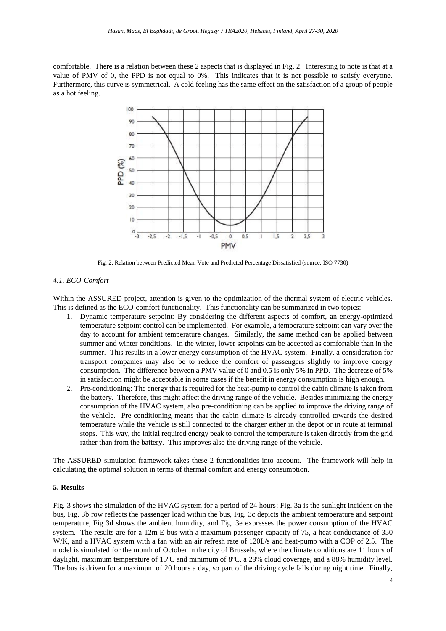comfortable. There is a relation between these 2 aspects that is displayed in [Fig.](#page-5-0) 2. Interesting to note is that at a value of PMV of 0, the PPD is not equal to 0%. This indicates that it is not possible to satisfy everyone. Furthermore, this curve is symmetrical. A cold feeling has the same effect on the satisfaction of a group of people as a hot feeling.



Fig*.* 2. Relation between Predicted Mean Vote and Predicted Percentage Dissatisfied (source: ISO 7730)

## <span id="page-5-0"></span>*4.1. ECO-Comfort*

Within the ASSURED project, attention is given to the optimization of the thermal system of electric vehicles. This is defined as the ECO-comfort functionality. This functionality can be summarized in two topics:

- 1. Dynamic temperature setpoint: By considering the different aspects of comfort, an energy-optimized temperature setpoint control can be implemented. For example, a temperature setpoint can vary over the day to account for ambient temperature changes. Similarly, the same method can be applied between summer and winter conditions. In the winter, lower setpoints can be accepted as comfortable than in the summer. This results in a lower energy consumption of the HVAC system. Finally, a consideration for transport companies may also be to reduce the comfort of passengers slightly to improve energy consumption. The difference between a PMV value of 0 and 0.5 is only 5% in PPD. The decrease of 5% in satisfaction might be acceptable in some cases if the benefit in energy consumption is high enough.
- 2. Pre-conditioning: The energy that is required for the heat-pump to control the cabin climate is taken from the battery. Therefore, this might affect the driving range of the vehicle. Besides minimizing the energy consumption of the HVAC system, also pre-conditioning can be applied to improve the driving range of the vehicle. Pre-conditioning means that the cabin climate is already controlled towards the desired temperature while the vehicle is still connected to the charger either in the depot or in route at terminal stops. This way, the initial required energy peak to control the temperature is taken directly from the grid rather than from the battery. This improves also the driving range of the vehicle.

The ASSURED simulation framework takes these 2 functionalities into account. The framework will help in calculating the optimal solution in terms of thermal comfort and energy consumption.

## **5. Results**

Fig. 3 shows the simulation of the HVAC system for a period of 24 hours; Fig. 3a is the sunlight incident on the bus, Fig. 3b row reflects the passenger load within the bus, Fig. 3c depicts the ambient temperature and setpoint temperature, Fig 3d shows the ambient humidity, and Fig. 3e expresses the power consumption of the HVAC system. The results are for a 12m E-bus with a maximum passenger capacity of 75, a heat conductance of 350 W/K, and a HVAC system with a fan with an air refresh rate of 120L/s and heat-pump with a COP of 2.5. The model is simulated for the month of October in the city of Brussels, where the climate conditions are 11 hours of daylight, maximum temperature of 15°C and minimum of 8°C, a 29% cloud coverage, and a 88% humidity level. The bus is driven for a maximum of 20 hours a day, so part of the driving cycle falls during night time. Finally,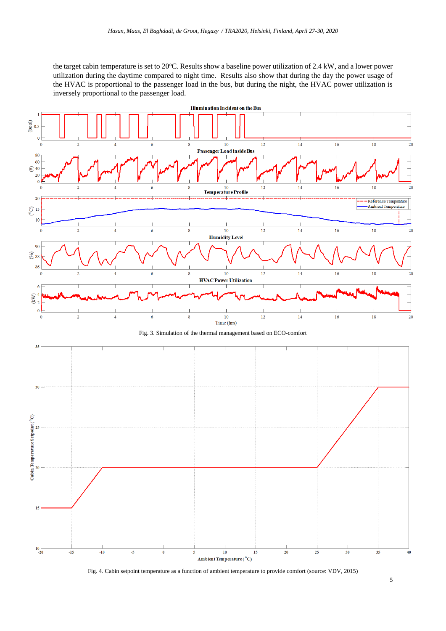the target cabin temperature is set to 20°C. Results show a baseline power utilization of 2.4 kW, and a lower power utilization during the daytime compared to night time. Results also show that during the day the power usage of the HVAC is proportional to the passenger load in the bus, but during the night, the HVAC power utilization is inversely proportional to the passenger load.



Fig. 4. Cabin setpoint temperature as a function of ambient temperature to provide comfort (source: VDV, 2015)

5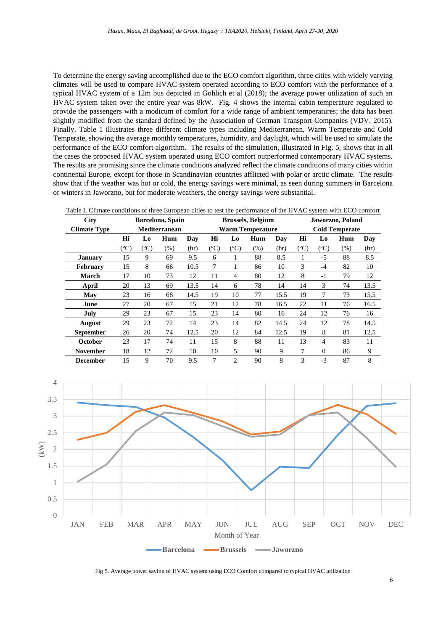To determine the energy saving accomplished due to the ECO comfort algorithm, three cities with widely varying climates will be used to compare HVAC system operated according to ECO comfort with the performance of a typical HVAC system of a 12m bus depicted in Gohlich et al (2018); the average power utilization of such an HVAC system taken over the entire year was 8kW. Fig. 4 shows the internal cabin temperature regulated to provide the passengers with a modicum of comfort for a wide range of ambient temperatures; the data has been slightly modified from the standard defined by the Association of German Transport Companies (VDV, 2015). Finally, Table 1 illustrates three different climate types including Mediterranean, Warm Temperate and Cold Temperate, showing the average monthly temperatures, humidity, and daylight, which will be used to simulate the performance of the ECO comfort algorithm. The results of the simulation, illustrated in Fig. 5, shows that in all the cases the proposed HVAC system operated using ECO comfort outperformed contemporary HVAC systems. The results are promising since the climate conditions analyzed reflect the climate conditions of many cities within continental Europe, except for those in Scandinavian countries afflicted with polar or arctic climate. The results show that if the weather was hot or cold, the energy savings were minimal, as seen during summers in Barcelona or winters in Jaworzno, but for moderate weathers, the energy savings were substantial.

|  | Table I. Climate conditions of three European cities to test the performance of the HVAC system with ECO comfort |  |
|--|------------------------------------------------------------------------------------------------------------------|--|
|--|------------------------------------------------------------------------------------------------------------------|--|

| <b>City</b>         | Barcelona, Spain |           |     |      | <b>Brussels, Belgium</b> |                |      |                       | Jaworzno, Poland |           |     |      |
|---------------------|------------------|-----------|-----|------|--------------------------|----------------|------|-----------------------|------------------|-----------|-----|------|
| <b>Climate Type</b> | Mediterranean    |           |     |      | <b>Warm Temperature</b>  |                |      | <b>Cold Temperate</b> |                  |           |     |      |
|                     | Hi               | L0        | Hum | Day  | Hi                       | Lo             | Hum  | Day                   | Hi               | Lo        | Hum | Day  |
|                     | $({}^oC)$        | $({}^oC)$ | (%) | (hr) | $({}^oC)$                | $({}^oC)$      | (% ) | (hr)                  | $(^{\circ}C)$    | $({}^oC)$ | (%) | (hr) |
| January             | 15               | 9         | 69  | 9.5  | 6                        | 1              | 88   | 8.5                   | 1                | $-5$      | 88  | 8.5  |
| <b>February</b>     | 15               | 8         | 66  | 10.5 | 7                        | 1              | 86   | 10                    | 3                | $-4$      | 82  | 10   |
| <b>March</b>        | 17               | 10        | 73  | 12   | 11                       | 4              | 80   | 12                    | 8                | $-1$      | 79  | 12   |
| April               | 20               | 13        | 69  | 13.5 | 14                       | 6              | 78   | 14                    | 14               | 3         | 74  | 13.5 |
| May                 | 23               | 16        | 68  | 14.5 | 19                       | 10             | 77   | 15.5                  | 19               | 7         | 73  | 15.5 |
| June                | 27               | 20        | 67  | 15   | 21                       | 12             | 78   | 16.5                  | 22               | 11        | 76  | 16.5 |
| July                | 29               | 23        | 67  | 15   | 23                       | 14             | 80   | 16                    | 24               | 12        | 76  | 16   |
| <b>August</b>       | 29               | 23        | 72  | 14   | 23                       | 14             | 82   | 14.5                  | 24               | 12        | 78  | 14.5 |
| <b>September</b>    | 26               | 20        | 74  | 12.5 | 20                       | 12             | 84   | 12.5                  | 19               | 8         | 81  | 12.5 |
| <b>October</b>      | 23               | 17        | 74  | 11   | 15                       | 8              | 88   | 11                    | 13               | 4         | 83  | 11   |
| <b>November</b>     | 18               | 12        | 72  | 10   | 10                       | 5              | 90   | 9                     | 7                | $\Omega$  | 86  | 9    |
| <b>December</b>     | 15               | 9         | 70  | 9.5  | 7                        | $\overline{c}$ | 90   | 8                     | 3                | $-3$      | 87  | 8    |



Fig 5. Average power saving of HVAC system using ECO Comfort compared to typical HVAC utilization